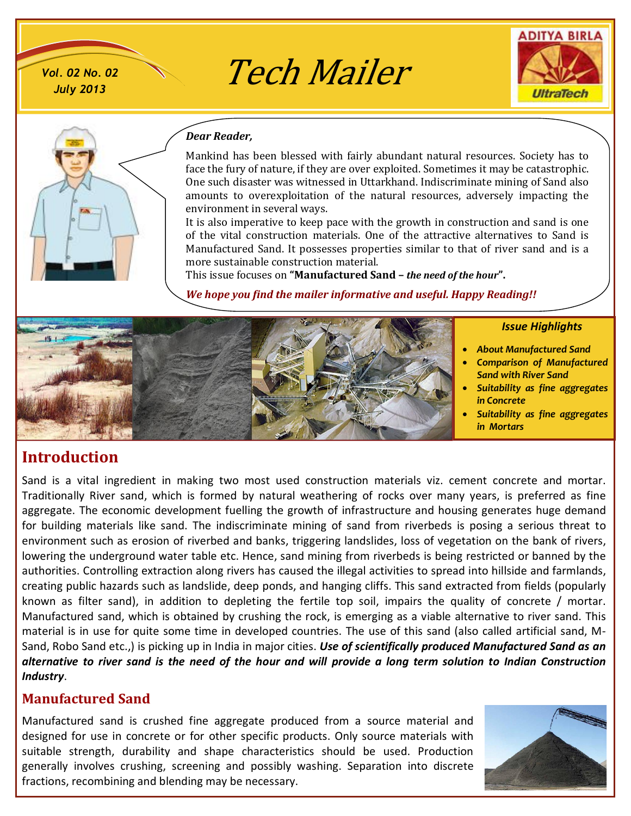*July 2013*

 $V$ ol. 02 No. 02  $\bigvee$   $Tech$  *Mailer* 





#### *Dear Reader,*

Mankind has been blessed with fairly abundant natural resources. Society has to face the fury of nature, if they are over exploited. Sometimes it may be catastrophic. One such disaster was witnessed in Uttarkhand. Indiscriminate mining of Sand also amounts to overexploitation of the natural resources, adversely impacting the environment in several ways.

It is also imperative to keep pace with the growth in construction and sand is one of the vital construction materials. One of the attractive alternatives to Sand is Manufactured Sand. It possesses properties similar to that of river sand and is a more sustainable construction material.

This issue focuses on **"Manufactured Sand –** *the need of the hour***".**

*We hope you find the mailer informative and useful. Happy Reading!!*

#### *Issue Highlights*

- · *About Manufactured Sand*  · *Comparison of Manufactured*
- *Sand with River Sand* · *Suitability as fine aggregates*
- *in Concrete*  · *Suitability as fine aggregates in Mortars*

# **Introduction**

Sand is a vital ingredient in making two most used construction materials viz. cement concrete and mortar. Traditionally River sand, which is formed by natural weathering of rocks over many years, is preferred as fine aggregate. The economic development fuelling the growth of infrastructure and housing generates huge demand for building materials like sand. The indiscriminate mining of sand from riverbeds is posing a serious threat to environment such as erosion of riverbed and banks, triggering landslides, loss of vegetation on the bank of rivers, lowering the underground water table etc. Hence, sand mining from riverbeds is being restricted or banned by the authorities. Controlling extraction along rivers has caused the illegal activities to spread into hillside and farmlands, creating public hazards such as landslide, deep ponds, and hanging cliffs. This sand extracted from fields (popularly known as filter sand), in addition to depleting the fertile top soil, impairs the quality of concrete / mortar. Manufactured sand, which is obtained by crushing the rock, is emerging as a viable alternative to river sand. This material is in use for quite some time in developed countries. The use of this sand (also called artificial sand, M-Sand, Robo Sand etc.,) is picking up in India in major cities. *Use of scientifically produced Manufactured Sand as an alternative to river sand is the need of the hour and will provide a long term solution to Indian Construction Industry*.

# **Manufactured Sand**

Manufactured sand is crushed fine aggregate produced from a source material and designed for use in concrete or for other specific products. Only source materials with suitable strength, durability and shape characteristics should be used. Production generally involves crushing, screening and possibly washing. Separation into discrete fractions, recombining and blending may be necessary.

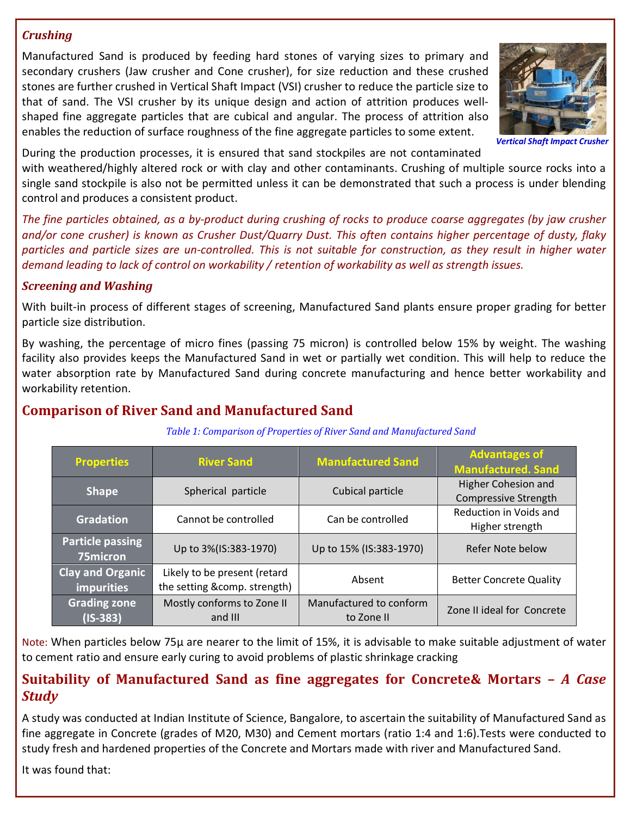### *Crushing*

Manufactured Sand is produced by feeding hard stones of varying sizes to primary and secondary crushers (Jaw crusher and Cone crusher), for size reduction and these crushed stones are further crushed in Vertical Shaft Impact (VSI) crusher to reduce the particle size to that of sand. The VSI crusher by its unique design and action of attrition produces wellshaped fine aggregate particles that are cubical and angular. The process of attrition also enables the reduction of surface roughness of the fine aggregate particles to some extent.



**Vertical Shaft Impact** 

During the production processes, it is ensured that sand stockpiles are not contaminated

with weathered/highly altered rock or with clay and other contaminants. Crushing of multiple source rocks into a single sand stockpile is also not be permitted unless it can be demonstrated that such a process is under blending control and produces a consistent product.

*The fine particles obtained, as a by-product during crushing of rocks to produce coarse aggregates (by jaw crusher and/or cone crusher) is known as Crusher Dust/Quarry Dust. This often contains higher percentage of dusty, flaky particles and particle sizes are un-controlled. This is not suitable for construction, as they result in higher water demand leading to lack of control on workability / retention of workability as well as strength issues.*

## *Screening and Washing*

With built-in process of different stages of screening, Manufactured Sand plants ensure proper grading for better particle size distribution.

By washing, the percentage of micro fines (passing 75 micron) is controlled below 15% by weight. The washing facility also provides keeps the Manufactured Sand in wet or partially wet condition. This will help to reduce the water absorption rate by Manufactured Sand during concrete manufacturing and hence better workability and workability retention.

# **Comparison of River Sand and Manufactured Sand**

 *Table 1: Comparison of Properties of River Sand and Manufactured Sand*

| <b>Properties</b>                            | <b>River Sand</b>                                            | <b>Manufactured Sand</b>              | <b>Advantages of</b><br><b>Manufactured. Sand</b>         |  |
|----------------------------------------------|--------------------------------------------------------------|---------------------------------------|-----------------------------------------------------------|--|
| <b>Shape</b>                                 | Spherical particle                                           | Cubical particle                      | <b>Higher Cohesion and</b><br><b>Compressive Strength</b> |  |
| <b>Gradation</b>                             | Cannot be controlled                                         | Can be controlled                     | Reduction in Voids and<br>Higher strength                 |  |
| <b>Particle passing</b><br>75micron          | Up to 3%(IS:383-1970)                                        | Up to 15% (IS:383-1970)               | Refer Note below                                          |  |
| <b>Clay and Organic</b><br><b>impurities</b> | Likely to be present (retard<br>the setting &comp. strength) | Absent                                | <b>Better Concrete Quality</b>                            |  |
| <b>Grading zone</b><br>$($ IS-383)           | Mostly conforms to Zone II<br>and III                        | Manufactured to conform<br>to Zone II | Zone II ideal for Concrete                                |  |

Note: When particles below 75µ are nearer to the limit of 15%, it is advisable to make suitable adjustment of water to cement ratio and ensure early curing to avoid problems of plastic shrinkage cracking

# **Suitability of Manufactured Sand as fine aggregates for Concrete& Mortars –** *A Case Study*

A study was conducted at Indian Institute of Science, Bangalore, to ascertain the suitability of Manufactured Sand as fine aggregate in Concrete (grades of M20, M30) and Cement mortars (ratio 1:4 and 1:6).Tests were conducted to study fresh and hardened properties of the Concrete and Mortars made with river and Manufactured Sand.

It was found that: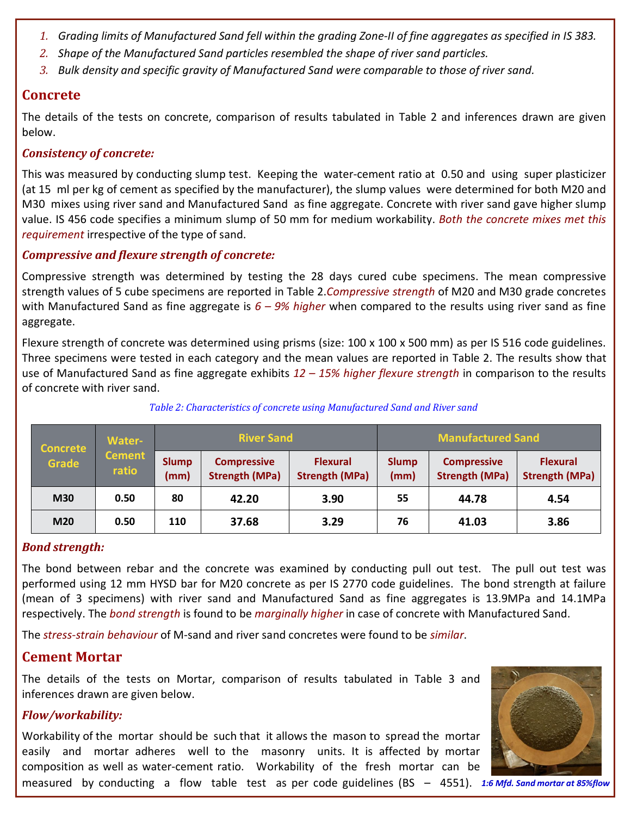- *1. Grading limits of Manufactured Sand fell within the grading Zone-II of fine aggregates as specified in IS 383.*
- *2. Shape of the Manufactured Sand particles resembled the shape of river sand particles.*
- *3. Bulk density and specific gravity of Manufactured Sand were comparable to those of river sand.*

# **Concrete**

The details of the tests on concrete, comparison of results tabulated in Table 2 and inferences drawn are given below.

### *Consistency of concrete:*

This was measured by conducting slump test. Keeping the water-cement ratio at 0.50 and using super plasticizer (at 15 ml per kg of cement as specified by the manufacturer), the slump values were determined for both M20 and M30 mixes using river sand and Manufactured Sand as fine aggregate. Concrete with river sand gave higher slump value. IS 456 code specifies a minimum slump of 50 mm for medium workability. *Both the concrete mixes met this requirement* irrespective of the type of sand.

## *Compressive and flexure strength of concrete:*

Compressive strength was determined by testing the 28 days cured cube specimens. The mean compressive strength values of 5 cube specimens are reported in Table 2.*Compressive strength* of M20 and M30 grade concretes with Manufactured Sand as fine aggregate is *6 – 9% higher* when compared to the results using river sand as fine aggregate.

Flexure strength of concrete was determined using prisms (size: 100 x 100 x 500 mm) as per IS 516 code guidelines. Three specimens were tested in each category and the mean values are reported in Table 2. The results show that use of Manufactured Sand as fine aggregate exhibits *12 – 15% higher flexure strength* in comparison to the results of concrete with river sand.

| <b>Concrete</b><br><b>Grade</b> | <b>Water-</b><br><b>Cement</b><br>ratio | <b>River Sand</b>    |                                             | <b>Manufactured Sand</b>                 |                      |                                             |                                          |
|---------------------------------|-----------------------------------------|----------------------|---------------------------------------------|------------------------------------------|----------------------|---------------------------------------------|------------------------------------------|
|                                 |                                         | <b>Slump</b><br>(mm) | <b>Compressive</b><br><b>Strength (MPa)</b> | <b>Flexural</b><br><b>Strength (MPa)</b> | <b>Slump</b><br>(mm) | <b>Compressive</b><br><b>Strength (MPa)</b> | <b>Flexural</b><br><b>Strength (MPa)</b> |
| <b>M30</b>                      | 0.50                                    | 80                   | 42.20                                       | 3.90                                     | 55                   | 44.78                                       | 4.54                                     |
| M20                             | 0.50                                    | 110                  | 37.68                                       | 3.29                                     | 76                   | 41.03                                       | 3.86                                     |

### *Table 2: Characteristics of concrete using Manufactured Sand and River sand*

### *Bond strength:*

The bond between rebar and the concrete was examined by conducting pull out test. The pull out test was performed using 12 mm HYSD bar for M20 concrete as per IS 2770 code guidelines. The bond strength at failure (mean of 3 specimens) with river sand and Manufactured Sand as fine aggregates is 13.9MPa and 14.1MPa respectively. The *bond strength* is found to be *marginally higher* in case of concrete with Manufactured Sand.

The *stress-strain behaviour* of M-sand and river sand concretes were found to be *similar*.

# **Cement Mortar**

The details of the tests on Mortar, comparison of results tabulated in Table 3 and inferences drawn are given below.

## *Flow/workability:*

Workability of the mortar should be such that it allows the mason to spread the mortar easily and mortar adheres well to the masonry units. It is affected by mortar composition as well as water-cement ratio. Workability of the fresh mortar can be



measured by conducting a flow table test as per code guidelines (BS - 4551). 1:6 Mfd. Sand mortar at 85%flow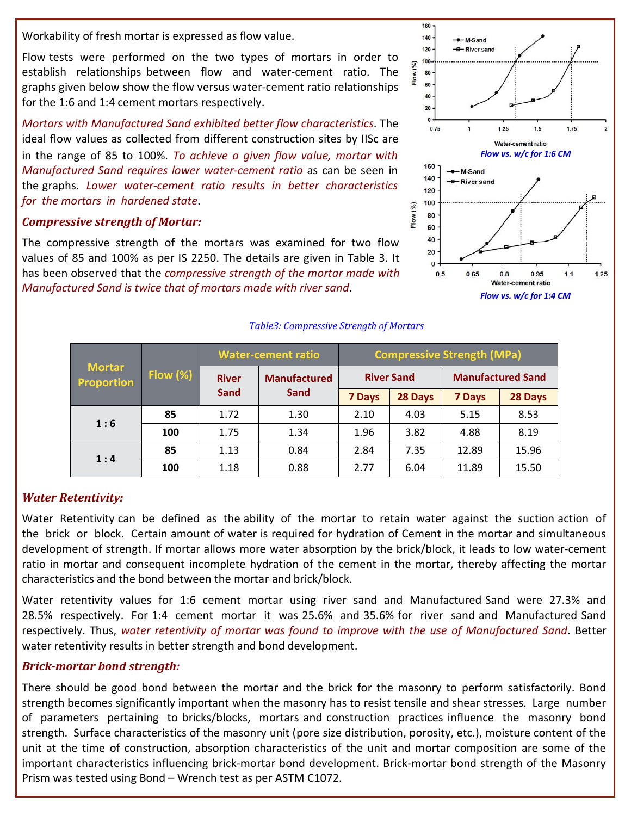Workability of fresh mortar is expressed as flow value.

Flow tests were performed on the two types of mortars in order to establish relationships between flow and water-cement ratio. The graphs given below show the flow versus water-cement ratio relationships for the 1:6 and 1:4 cement mortars respectively.

*Mortars with Manufactured Sand exhibited better flow characteristics*. The ideal flow values as collected from different construction sites by IISc are in the range of 85 to 100%. *To achieve a given flow value, mortar with Manufactured Sand requires lower water-cement ratio* as can be seen in the graphs. *Lower water-cement ratio results in better characteristics for the mortars in hardened state*.

#### *Compressive strength of Mortar:*

The compressive strength of the mortars was examined for two flow values of 85 and 100% as per IS 2250. The details are given in Table 3. It has been observed that the *compressive strength of the mortar made with Manufactured Sand is twice that of mortars made with river sand*.

#### *Table3: Compressive Strength of Mortars*

| <b>Mortar</b><br><b>Proportion</b> | Flow $(\%)$ | <b>Water-cement ratio</b>           |                     | <b>Compressive Strength (MPa)</b> |         |                          |         |
|------------------------------------|-------------|-------------------------------------|---------------------|-----------------------------------|---------|--------------------------|---------|
|                                    |             | <b>River</b><br><b>Sand</b><br>Sand | <b>Manufactured</b> | <b>River Sand</b>                 |         | <b>Manufactured Sand</b> |         |
|                                    |             |                                     |                     | 7 Days                            | 28 Days | <b>7 Days</b>            | 28 Days |
| 1:6                                | 85          | 1.72                                | 1.30                | 2.10                              | 4.03    | 5.15                     | 8.53    |
|                                    | 100         | 1.75                                | 1.34                | 1.96                              | 3.82    | 4.88                     | 8.19    |
| 1:4                                | 85          | 1.13                                | 0.84                | 2.84                              | 7.35    | 12.89                    | 15.96   |
|                                    | 100         | 1.18                                | 0.88                | 2.77                              | 6.04    | 11.89                    | 15.50   |

#### *Water Retentivity:*

Water Retentivity can be defined as the ability of the mortar to retain water against the suction action of the brick or block. Certain amount of water is required for hydration of Cement in the mortar and simultaneous development of strength. If mortar allows more water absorption by the brick/block, it leads to low water-cement ratio in mortar and consequent incomplete hydration of the cement in the mortar, thereby affecting the mortar characteristics and the bond between the mortar and brick/block.

Water retentivity values for 1:6 cement mortar using river sand and Manufactured Sand were 27.3% and 28.5% respectively. For 1:4 cement mortar it was 25.6% and 35.6% for river sand and Manufactured Sand respectively. Thus, *water retentivity of mortar was found to improve with the use of Manufactured Sand*. Better water retentivity results in better strength and bond development.

#### *Brick-mortar bond strength:*

There should be good bond between the mortar and the brick for the masonry to perform satisfactorily. Bond strength becomes significantly important when the masonry has to resist tensile and shear stresses. Large number of parameters pertaining to bricks/blocks, mortars and construction practices influence the masonry bond strength. Surface characteristics of the masonry unit (pore size distribution, porosity, etc.), moisture content of the unit at the time of construction, absorption characteristics of the unit and mortar composition are some of the important characteristics influencing brick-mortar bond development. Brick-mortar bond strength of the Masonry Prism was tested using Bond – Wrench test as per ASTM C1072.